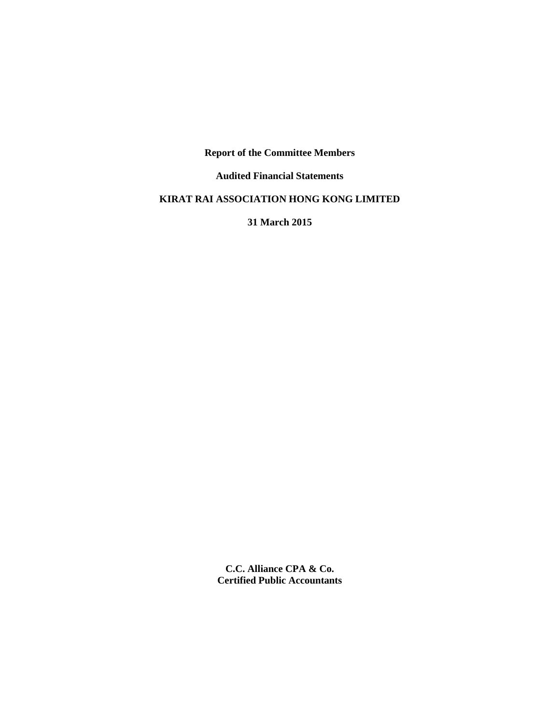**Report of the Committee Members**

**Audited Financial Statements**

# **KIRAT RAI ASSOCIATION HONG KONG LIMITED**

**31 March 2015**

**C.C. Alliance CPA & Co. Certified Public Accountants**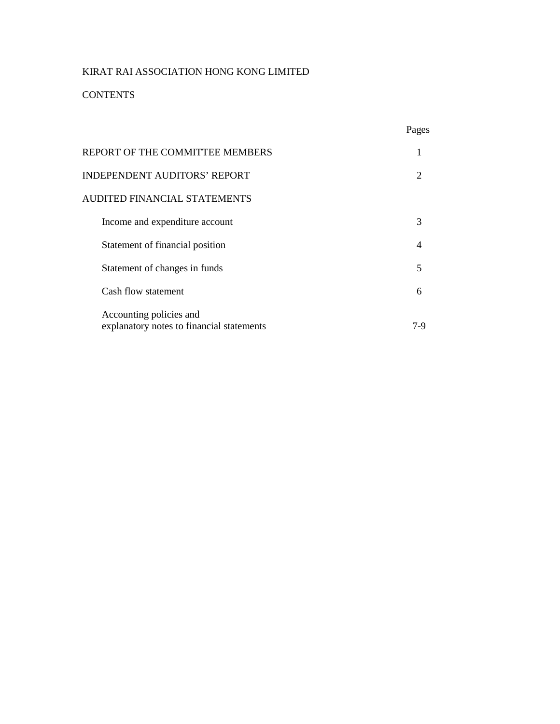# **CONTENTS**

|                                                                      | Pages |
|----------------------------------------------------------------------|-------|
| REPORT OF THE COMMITTEE MEMBERS                                      | 1     |
| <b>INDEPENDENT AUDITORS' REPORT</b>                                  | 2     |
| AUDITED FINANCIAL STATEMENTS                                         |       |
| Income and expenditure account                                       | 3     |
| Statement of financial position                                      | 4     |
| Statement of changes in funds                                        | 5     |
| Cash flow statement                                                  | 6     |
| Accounting policies and<br>explanatory notes to financial statements | 7-9   |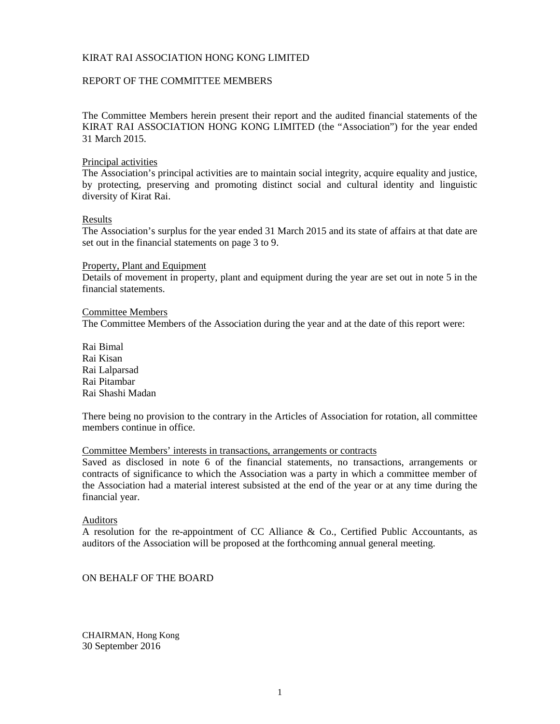## REPORT OF THE COMMITTEE MEMBERS

The Committee Members herein present their report and the audited financial statements of the KIRAT RAI ASSOCIATION HONG KONG LIMITED (the "Association") for the year ended 31 March 2015.

### Principal activities

The Association's principal activities are to maintain social integrity, acquire equality and justice, by protecting, preserving and promoting distinct social and cultural identity and linguistic diversity of Kirat Rai.

### Results

The Association's surplus for the year ended 31 March 2015 and its state of affairs at that date are set out in the financial statements on page 3 to 9.

### Property, Plant and Equipment

Details of movement in property, plant and equipment during the year are set out in note 5 in the financial statements.

#### Committee Members

The Committee Members of the Association during the year and at the date of this report were:

Rai Bimal Rai Kisan Rai Lalparsad Rai Pitambar Rai Shashi Madan

There being no provision to the contrary in the Articles of Association for rotation, all committee members continue in office.

### Committee Members' interests in transactions, arrangements or contracts

Saved as disclosed in note 6 of the financial statements, no transactions, arrangements or contracts of significance to which the Association was a party in which a committee member of the Association had a material interest subsisted at the end of the year or at any time during the financial year.

### Auditors

A resolution for the re-appointment of CC Alliance & Co., Certified Public Accountants, as auditors of the Association will be proposed at the forthcoming annual general meeting.

### ON BEHALF OF THE BOARD

CHAIRMAN, Hong Kong 30 September 2016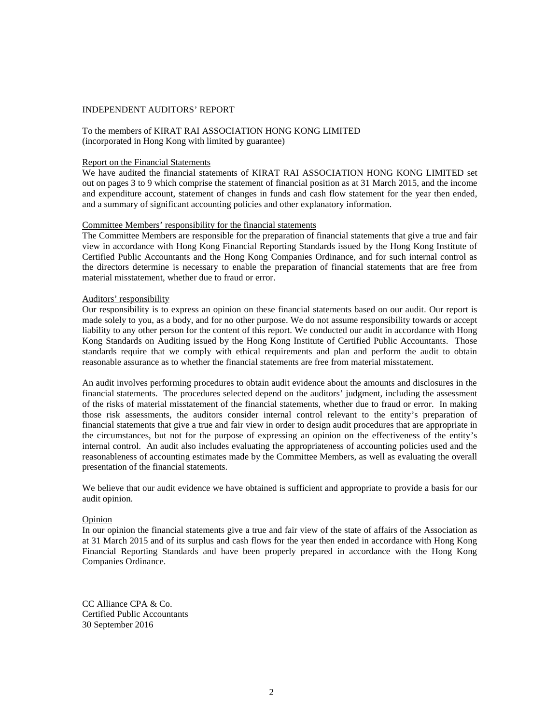#### INDEPENDENT AUDITORS' REPORT

To the members of KIRAT RAI ASSOCIATION HONG KONG LIMITED (incorporated in Hong Kong with limited by guarantee)

#### Report on the Financial Statements

We have audited the financial statements of KIRAT RAI ASSOCIATION HONG KONG LIMITED set out on pages 3 to 9 which comprise the statement of financial position as at 31 March 2015, and the income and expenditure account, statement of changes in funds and cash flow statement for the year then ended, and a summary of significant accounting policies and other explanatory information.

#### Committee Members' responsibility for the financial statements

The Committee Members are responsible for the preparation of financial statements that give a true and fair view in accordance with Hong Kong Financial Reporting Standards issued by the Hong Kong Institute of Certified Public Accountants and the Hong Kong Companies Ordinance, and for such internal control as the directors determine is necessary to enable the preparation of financial statements that are free from material misstatement, whether due to fraud or error.

#### Auditors' responsibility

Our responsibility is to express an opinion on these financial statements based on our audit. Our report is made solely to you, as a body, and for no other purpose. We do not assume responsibility towards or accept liability to any other person for the content of this report. We conducted our audit in accordance with Hong Kong Standards on Auditing issued by the Hong Kong Institute of Certified Public Accountants. Those standards require that we comply with ethical requirements and plan and perform the audit to obtain reasonable assurance as to whether the financial statements are free from material misstatement.

An audit involves performing procedures to obtain audit evidence about the amounts and disclosures in the financial statements. The procedures selected depend on the auditors' judgment, including the assessment of the risks of material misstatement of the financial statements, whether due to fraud or error. In making those risk assessments, the auditors consider internal control relevant to the entity's preparation of financial statements that give a true and fair view in order to design audit procedures that are appropriate in the circumstances, but not for the purpose of expressing an opinion on the effectiveness of the entity's internal control. An audit also includes evaluating the appropriateness of accounting policies used and the reasonableness of accounting estimates made by the Committee Members, as well as evaluating the overall presentation of the financial statements.

We believe that our audit evidence we have obtained is sufficient and appropriate to provide a basis for our audit opinion.

#### Opinion

In our opinion the financial statements give a true and fair view of the state of affairs of the Association as at 31 March 2015 and of its surplus and cash flows for the year then ended in accordance with Hong Kong Financial Reporting Standards and have been properly prepared in accordance with the Hong Kong Companies Ordinance.

CC Alliance CPA & Co. Certified Public Accountants 30 September 2016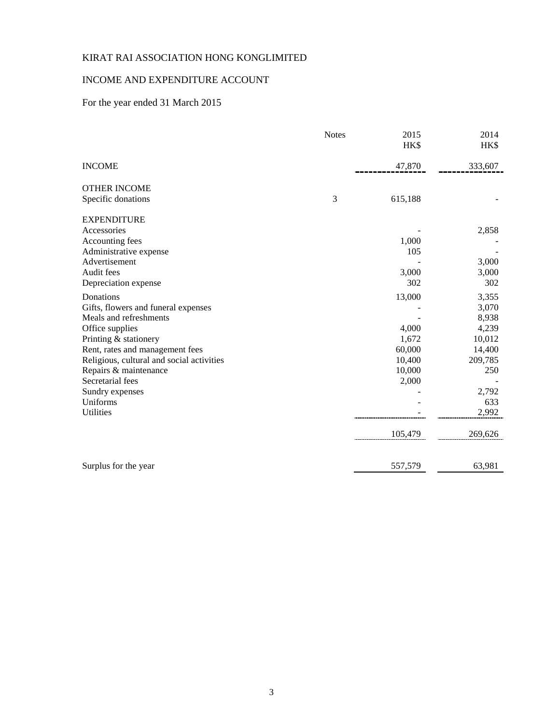# INCOME AND EXPENDITURE ACCOUNT

# For the year ended 31 March 2015

|                                           | <b>Notes</b> | 2015    | 2014    |
|-------------------------------------------|--------------|---------|---------|
|                                           |              | HK\$    | HK\$    |
| <b>INCOME</b>                             |              | 47,870  | 333,607 |
| <b>OTHER INCOME</b>                       |              |         |         |
| Specific donations                        | 3            | 615,188 |         |
| <b>EXPENDITURE</b>                        |              |         |         |
| Accessories                               |              |         | 2,858   |
| Accounting fees                           |              | 1,000   |         |
| Administrative expense                    |              | 105     |         |
| Advertisement                             |              |         | 3,000   |
| Audit fees                                |              | 3,000   | 3,000   |
| Depreciation expense                      |              | 302     | 302     |
| Donations                                 |              | 13,000  | 3,355   |
| Gifts, flowers and funeral expenses       |              |         | 3,070   |
| Meals and refreshments                    |              |         | 8,938   |
| Office supplies                           |              | 4,000   | 4,239   |
| Printing & stationery                     |              | 1,672   | 10,012  |
| Rent, rates and management fees           |              | 60,000  | 14,400  |
| Religious, cultural and social activities |              | 10,400  | 209,785 |
| Repairs & maintenance                     |              | 10,000  | 250     |
| Secretarial fees                          |              | 2,000   |         |
| Sundry expenses                           |              |         | 2,792   |
| Uniforms                                  |              |         | 633     |
| <b>Utilities</b>                          |              |         | 2,992   |
|                                           |              | 105,479 | 269,626 |
| Surplus for the year                      |              | 557,579 | 63,981  |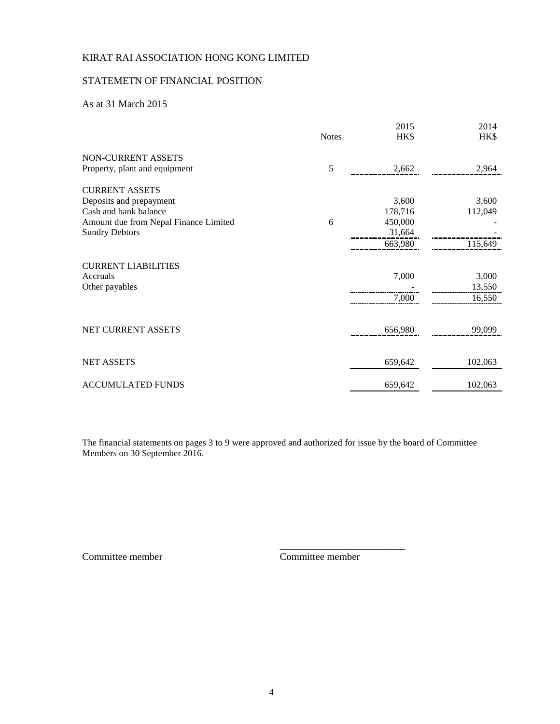# STATEMETN OF FINANCIAL POSITION

# As at 31 March 2015

|                                       | <b>Notes</b> | 2015<br>HK\$ | 2014<br>HK\$ |
|---------------------------------------|--------------|--------------|--------------|
| NON-CURRENT ASSETS                    |              |              |              |
| Property, plant and equipment         | 5            | 2,662        | 2,964        |
| <b>CURRENT ASSETS</b>                 |              |              |              |
| Deposits and prepayment               |              | 3,600        | 3,600        |
| Cash and bank balance                 |              | 178,716      | 112,049      |
| Amount due from Nepal Finance Limited | 6            | 450,000      |              |
| <b>Sundry Debtors</b>                 |              | 31,664       |              |
|                                       |              | 663,980      | 115,649      |
| <b>CURRENT LIABILITIES</b>            |              |              |              |
| Accruals                              |              | 7,000        | 3,000        |
| Other payables                        |              |              | 13,550       |
|                                       |              | 7,000        | 16,550       |
| NET CURRENT ASSETS                    |              | 656,980      | 99,099       |
|                                       |              |              |              |
| <b>NET ASSETS</b>                     |              | 659,642      | 102,063      |
| <b>ACCUMULATED FUNDS</b>              |              | 659,642      | 102,063      |

The financial statements on pages 3 to 9 were approved and authorized for issue by the board of Committee Members on 30 September 2016.

**Contract Contract Contract** 

Committee member Committee member

\_\_\_\_\_\_\_\_\_\_\_\_\_\_\_\_\_\_\_\_\_\_\_\_\_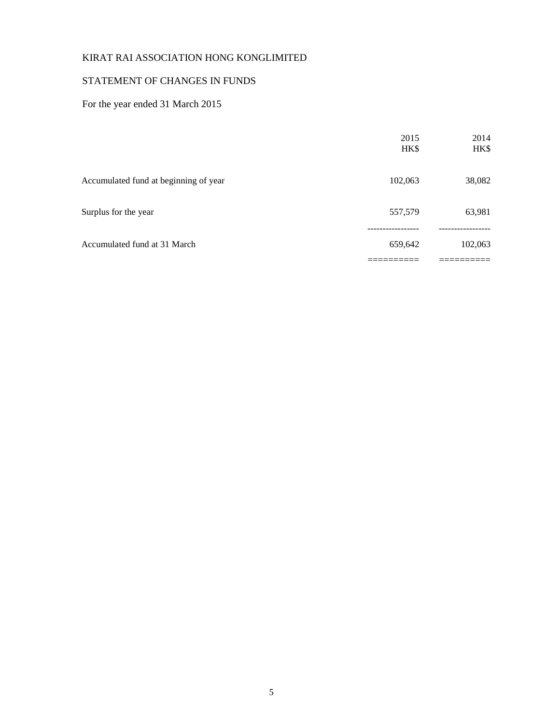# STATEMENT OF CHANGES IN FUNDS

# For the year ended 31 March 2015

|                                       | 2015<br>HK\$ | 2014<br>HK\$ |  |
|---------------------------------------|--------------|--------------|--|
| Accumulated fund at beginning of year | 102,063      | 38,082       |  |
| Surplus for the year                  | 557,579      | 63,981       |  |
| Accumulated fund at 31 March          | 659,642      | 102,063      |  |
|                                       |              |              |  |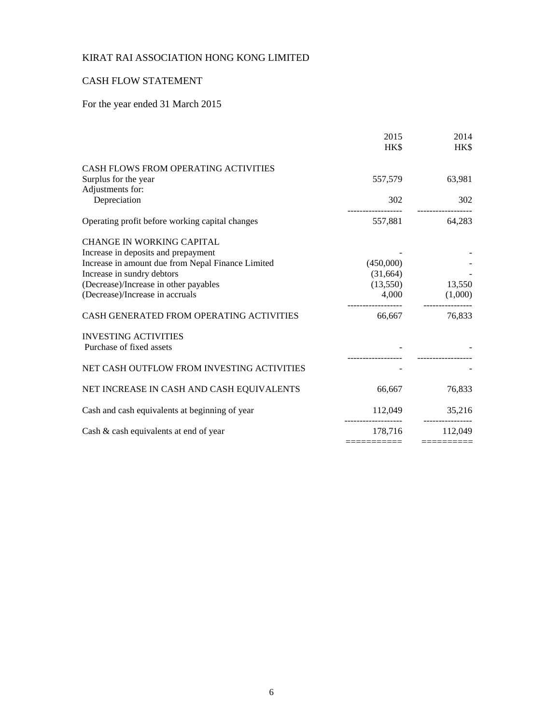# CASH FLOW STATEMENT

# For the year ended 31 March 2015

|                                                   | 2015<br>HK\$ | 2014<br>HK\$      |
|---------------------------------------------------|--------------|-------------------|
| <b>CASH FLOWS FROM OPERATING ACTIVITIES</b>       |              |                   |
| Surplus for the year                              | 557,579      | 63,981            |
| Adjustments for:                                  |              |                   |
| Depreciation                                      | 302          | 302               |
| Operating profit before working capital changes   | 557,881      | 64,283            |
| <b>CHANGE IN WORKING CAPITAL</b>                  |              |                   |
| Increase in deposits and prepayment               |              |                   |
| Increase in amount due from Nepal Finance Limited | (450,000)    |                   |
| Increase in sundry debtors                        | (31, 664)    |                   |
| (Decrease)/Increase in other payables             |              | $(13,550)$ 13,550 |
| (Decrease)/Increase in accruals                   | 4,000        | (1,000)           |
| CASH GENERATED FROM OPERATING ACTIVITIES          | 66,667       | 76,833            |
| <b>INVESTING ACTIVITIES</b>                       |              |                   |
| Purchase of fixed assets                          |              |                   |
| NET CASH OUTFLOW FROM INVESTING ACTIVITIES        |              |                   |
| NET INCREASE IN CASH AND CASH EQUIVALENTS         | 66,667       | 76,833            |
| Cash and cash equivalents at beginning of year    | 112,049      | 35,216            |
| Cash & cash equivalents at end of year            | 178,716      | 112,049           |
|                                                   |              |                   |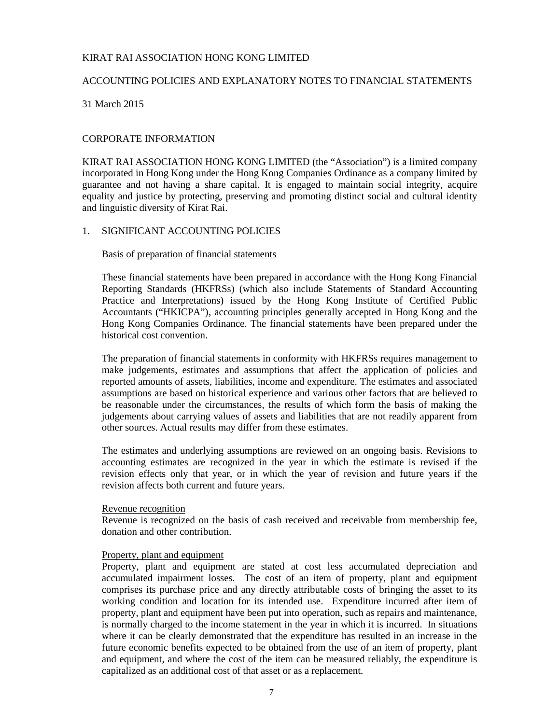## ACCOUNTING POLICIES AND EXPLANATORY NOTES TO FINANCIAL STATEMENTS

31 March 2015

## CORPORATE INFORMATION

KIRAT RAI ASSOCIATION HONG KONG LIMITED (the "Association") is a limited company incorporated in Hong Kong under the Hong Kong Companies Ordinance as a company limited by guarantee and not having a share capital. It is engaged to maintain social integrity, acquire equality and justice by protecting, preserving and promoting distinct social and cultural identity and linguistic diversity of Kirat Rai.

## 1. SIGNIFICANT ACCOUNTING POLICIES

### Basis of preparation of financial statements

These financial statements have been prepared in accordance with the Hong Kong Financial Reporting Standards (HKFRSs) (which also include Statements of Standard Accounting Practice and Interpretations) issued by the Hong Kong Institute of Certified Public Accountants ("HKICPA"), accounting principles generally accepted in Hong Kong and the Hong Kong Companies Ordinance. The financial statements have been prepared under the historical cost convention.

The preparation of financial statements in conformity with HKFRSs requires management to make judgements, estimates and assumptions that affect the application of policies and reported amounts of assets, liabilities, income and expenditure. The estimates and associated assumptions are based on historical experience and various other factors that are believed to be reasonable under the circumstances, the results of which form the basis of making the judgements about carrying values of assets and liabilities that are not readily apparent from other sources. Actual results may differ from these estimates.

The estimates and underlying assumptions are reviewed on an ongoing basis. Revisions to accounting estimates are recognized in the year in which the estimate is revised if the revision effects only that year, or in which the year of revision and future years if the revision affects both current and future years.

### Revenue recognition

Revenue is recognized on the basis of cash received and receivable from membership fee, donation and other contribution.

### Property, plant and equipment

Property, plant and equipment are stated at cost less accumulated depreciation and accumulated impairment losses. The cost of an item of property, plant and equipment comprises its purchase price and any directly attributable costs of bringing the asset to its working condition and location for its intended use. Expenditure incurred after item of property, plant and equipment have been put into operation, such as repairs and maintenance, is normally charged to the income statement in the year in which it is incurred. In situations where it can be clearly demonstrated that the expenditure has resulted in an increase in the future economic benefits expected to be obtained from the use of an item of property, plant and equipment, and where the cost of the item can be measured reliably, the expenditure is capitalized as an additional cost of that asset or as a replacement.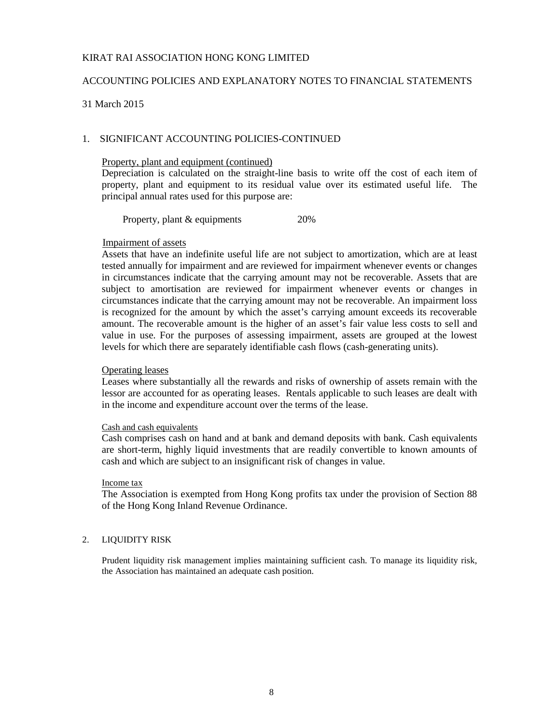## ACCOUNTING POLICIES AND EXPLANATORY NOTES TO FINANCIAL STATEMENTS

31 March 2015

## 1. SIGNIFICANT ACCOUNTING POLICIES-CONTINUED

#### Property, plant and equipment (continued)

Depreciation is calculated on the straight-line basis to write off the cost of each item of property, plant and equipment to its residual value over its estimated useful life. The principal annual rates used for this purpose are:

Property, plant & equipments 20%

## Impairment of assets

Assets that have an indefinite useful life are not subject to amortization, which are at least tested annually for impairment and are reviewed for impairment whenever events or changes in circumstances indicate that the carrying amount may not be recoverable. Assets that are subject to amortisation are reviewed for impairment whenever events or changes in circumstances indicate that the carrying amount may not be recoverable. An impairment loss is recognized for the amount by which the asset's carrying amount exceeds its recoverable amount. The recoverable amount is the higher of an asset's fair value less costs to sell and value in use. For the purposes of assessing impairment, assets are grouped at the lowest levels for which there are separately identifiable cash flows (cash-generating units).

### Operating leases

Leases where substantially all the rewards and risks of ownership of assets remain with the lessor are accounted for as operating leases. Rentals applicable to such leases are dealt with in the income and expenditure account over the terms of the lease.

#### Cash and cash equivalents

Cash comprises cash on hand and at bank and demand deposits with bank. Cash equivalents are short-term, highly liquid investments that are readily convertible to known amounts of cash and which are subject to an insignificant risk of changes in value.

#### Income tax

The Association is exempted from Hong Kong profits tax under the provision of Section 88 of the Hong Kong Inland Revenue Ordinance.

### 2. LIQUIDITY RISK

Prudent liquidity risk management implies maintaining sufficient cash. To manage its liquidity risk, the Association has maintained an adequate cash position.